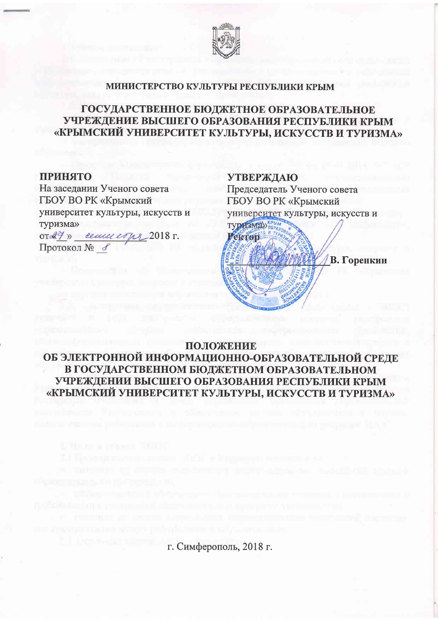

### МИНИСТЕРСТВО КУЛЬТУРЫ РЕСПУБЛИКИ КРЫМ

# ГОСУДАРСТВЕННОЕ БЮДЖЕТНОЕ ОБРАЗОВАТЕЛЬНОЕ УЧРЕЖДЕНИЕ ВЫСШЕГО ОБРАЗОВАНИЯ РЕСПУБЛИКИ КРЫМ «КРЫМСКИЙ УНИВЕРСИТЕТ КУЛЬТУРЫ, ИСКУССТВ И ТУРИЗМА»

#### **ПРИНЯТО**

На заседании Ученого совета ГБОУ ВО РК «Крымский университет культуры, искусств и туризма» ord7» centureons 2018 г. Протокол № 6

**УТВЕРЖДАЮ** Председатель Ученого совета ГБОУ ВО РК «Крымский университет культуры, искусств и



## ПОЛОЖЕНИЕ

ОБ ЭЛЕКТРОННОЙ ИНФОРМАЦИОННО-ОБРАЗОВАТЕЛЬНОЙ СРЕДЕ В ГОСУДАРСТВЕННОМ БЮДЖЕТНОМ ОБРАЗОВАТЕЛЬНОМ УЧРЕЖДЕНИИ ВЫСШЕГО ОБРАЗОВАНИЯ РЕСПУБЛИКИ КРЫМ «КРЫМСКИЙ УНИВЕРСИТЕТ КУЛЬТУРЫ, ИСКУССТВ И ТУРИЗМА»

г. Симферополь, 2018 г.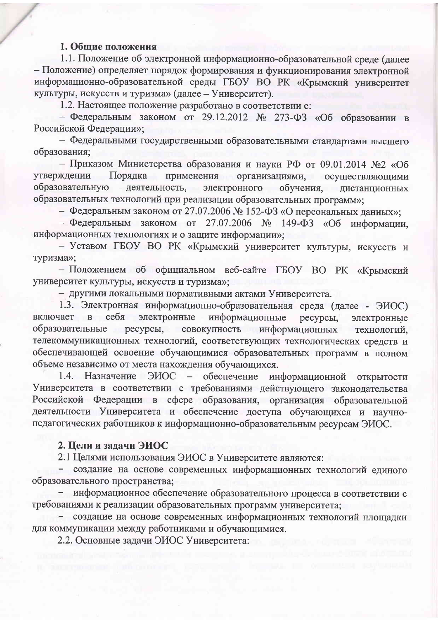### 1. Общие положения

1.1. Положение об электронной информационно-образовательной среде (далее - Положение) определяет порядок формирования и функционирования электронной информационно-образовательной среды ГБОУ ВО РК «Крымский университет культуры, искусств и туризма» (далее - Университет).

1.2. Настоящее положение разработано в соответствии с:

- Федеральным законом от 29.12.2012 № 273-ФЗ «Об образовании в Российской Федерации»;

- Федеральными государственными образовательными стандартами высшего образования;

- Приказом Министерства образования и науки РФ от 09.01.2014 №2 «Об применения организациями, осуществляющими Порядка утверждении образовательную деятельность, электронного обучения, дистанционных образовательных технологий при реализации образовательных программ»;

- Федеральным законом от 27.07.2006 № 152-ФЗ «О персональных данных»;

- Федеральным законом от 27.07.2006 № 149-ФЗ «Об информации, информационных технологиях и о защите информации»;

- Уставом ГБОУ ВО РК «Крымский университет культуры, искусств и туризма»;

- Положением об официальном веб-сайте ГБОУ ВО РК «Крымский университет культуры, искусств и туризма»;

- другими локальными нормативными актами Университета.

1.3. Электронная информационно-образовательная среда (далее - ЭИОС) электронные информационные включает себя ресурсы,  $\overline{B}$ электронные ресурсы, совокупность информационных образовательные технологий, телекоммуникационных технологий, соответствующих технологических средств и обеспечивающей освоение обучающимися образовательных программ в полном объеме независимо от места нахождения обучающихся.

1.4. Назначение ЭИОС - обеспечение информационной открытости Университета в соответствии с требованиями действующего законодательства Российской Федерации в сфере образования, организация образовательной деятельности Университета и обеспечение доступа обучающихся и научнопедагогических работников к информационно-образовательным ресурсам ЭИОС.

### 2. Цели и задачи ЭИОС

2.1 Целями использования ЭИОС в Университете являются:

- создание на основе современных информационных технологий единого образовательного пространства;

- информационное обеспечение образовательного процесса в соответствии с требованиями к реализации образовательных программ университета;

создание на основе современных информационных технологий площадки для коммуникации между работниками и обучающимися.

2.2. Основные задачи ЭИОС Университета: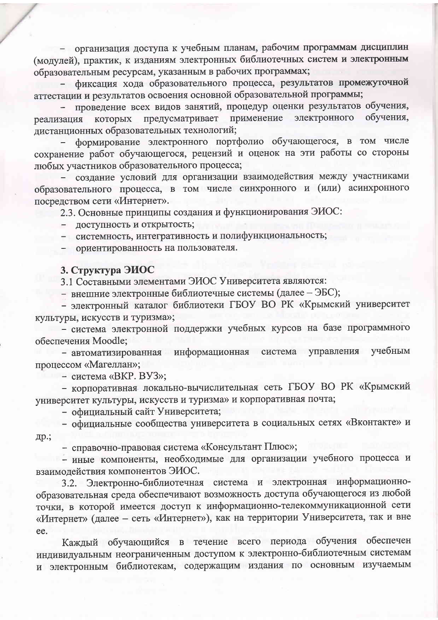- организация доступа к учебным планам, рабочим программам дисциплин (модулей), практик, к изданиям электронных библиотечных систем и электронным образовательным ресурсам, указанным в рабочих программах;

фиксация хода образовательного процесса, результатов промежуточной аттестации и результатов освоения основной образовательной программы;

проведение всех видов занятий, процедур оценки результатов обучения, обучения, электронного применение предусматривает реализация которых дистанционных образовательных технологий;

формирование электронного портфолио обучающегося, в том числе сохранение работ обучающегося, рецензий и оценок на эти работы со стороны любых участников образовательного процесса;

создание условий для организации взаимодействия между участниками образовательного процесса, в том числе синхронного и (или) асинхронного посредством сети «Интернет».

2.3. Основные принципы создания и функционирования ЭИОС:

доступность и открытость;

- системность, интегративность и полифункциональность;

ориентированность на пользователя.

#### 3. Структура ЭИОС

3.1 Составными элементами ЭИОС Университета являются:

- внешние электронные библиотечные системы (далее - ЭБС);

- электронный каталог библиотеки ГБОУ ВО РК «Крымский университет культуры, искусств и туризма»;

- система электронной поддержки учебных курсов на базе программного обеспечения Moodle;

- автоматизированная информационная система управления учебным процессом «Магеллан»;

- система «ВКР. ВУЗ»;

- корпоративная локально-вычислительная сеть ГБОУ ВО РК «Крымский университет культуры, искусств и туризма» и корпоративная почта;

- официальный сайт Университета;

- официальные сообщества университета в социальных сетях «Вконтакте» и др.;

- справочно-правовая система «Консультант Плюс»;

- иные компоненты, необходимые для организации учебного процесса и взаимодействия компонентов ЭИОС.

Электронно-библиотечная система и электронная информационно- $3.2.$ образовательная среда обеспечивают возможность доступа обучающегося из любой точки, в которой имеется доступ к информационно-телекоммуникационной сети «Интернет» (далее - сеть «Интернет»), как на территории Университета, так и вне ee.

Каждый обучающийся в течение всего периода обучения обеспечен индивидуальным неограниченным доступом к электронно-библиотечным системам и электронным библиотекам, содержащим издания по основным изучаемым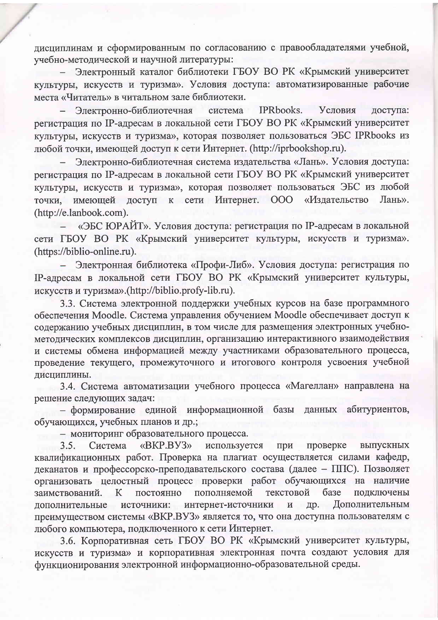дисциплинам и сформированным по согласованию с правообладателями учебной, учебно-методической и научной литературы:

Электронный каталог библиотеки ГБОУ ВО РК «Крымский университет культуры, искусств и туризма». Условия доступа: автоматизированные рабочие места «Читатель» в читальном зале библиотеки.

**IPRbooks.** Электронно-библиотечная система Условия доступа: регистрация по IP-адресам в локальной сети ГБОУ ВО РК «Крымский университет культуры, искусств и туризма», которая позволяет пользоваться ЭБС IPRbooks из любой точки, имеющей доступ к сети Интернет. (http://iprbookshop.ru).

Электронно-библиотечная система издательства «Лань». Условия доступа: регистрация по IP-адресам в локальной сети ГБОУ ВО РК «Крымский университет культуры, искусств и туризма», которая позволяет пользоваться ЭБС из любой доступ к сети Интернет. 000 «Издательство Лань». точки, имеющей (http://e.lanbook.com).

«ЭБС ЮРАЙТ». Условия доступа: регистрация по IP-адресам в локальной сети ГБОУ ВО РК «Крымский университет культуры, искусств и туризма». (https://biblio-online.ru).

Электронная библиотека «Профи-Либ». Условия доступа: регистрация по IP-адресам в локальной сети ГБОУ ВО РК «Крымский университет культуры, искусств и туризма».(http://biblio.profy-lib.ru).

3.3. Система электронной поддержки учебных курсов на базе программного обеспечения Moodle. Система управления обучением Moodle обеспечивает доступ к содержанию учебных дисциплин, в том числе для размещения электронных учебнометодических комплексов дисциплин, организацию интерактивного взаимодействия и системы обмена информацией между участниками образовательного процесса, проведение текущего, промежуточного и итогового контроля усвоения учебной дисциплины.

3.4. Система автоматизации учебного процесса «Магеллан» направлена на решение следующих задач:

- формирование единой информационной базы данных абитуриентов, обучающихся, учебных планов и др.;

- мониторинг образовательного процесса.

используется проверке  $3.5.$ Система «BKP.BY3» при выпускных квалификационных работ. Проверка на плагиат осуществляется силами кафедр, деканатов и профессорско-преподавательского состава (далее - ППС). Позволяет организовать целостный процесс проверки работ обучающихся на наличие текстовой базе  $\bf K$ постоянно пополняемой подключены заимствований. интернет-источники Дополнительным дополнительные источники:  $\mathbf H$ др. преимуществом системы «ВКР.ВУЗ» является то, что она доступна пользователям с любого компьютера, подключенного к сети Интернет.

3.6. Корпоративная сеть ГБОУ ВО РК «Крымский университет культуры, искусств и туризма» и корпоративная электронная почта создают условия для функционирования электронной информационно-образовательной среды.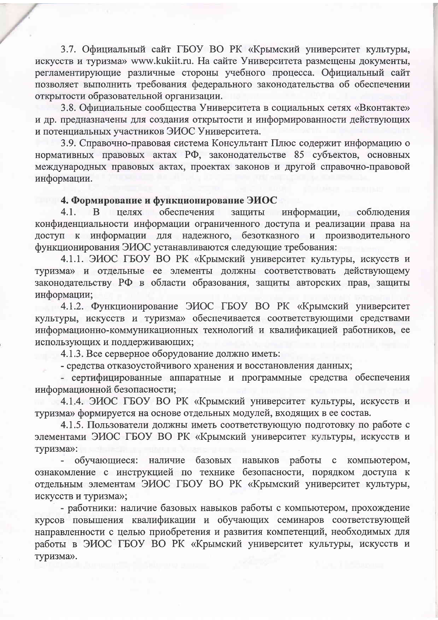3.7. Официальный сайт ГБОУ ВО РК «Крымский университет культуры, искусств и туризма» www.kukiit.ru. На сайте Университета размещены документы, регламентирующие различные стороны учебного процесса. Официальный сайт позволяет выполнить требования федерального законодательства об обеспечении открытости образовательной организации.

3.8. Официальные сообщества Университета в социальных сетях «Вконтакте» и др. предназначены для создания открытости и информированности действующих и потенциальных участников ЭИОС Университета.

3.9. Справочно-правовая система Консультант Плюс содержит информацию о нормативных правовых актах РФ, законодательстве 85 субъектов, основных международных правовых актах, проектах законов и другой справочно-правовой информации.

## 4. Формирование и функционирование ЭИОС

обеспечения целях защиты  $4.1.$ <sub>B</sub> информации, соблюдения конфиденциальности информации ограниченного доступа и реализации права на доступ к информации для надежного, безотказного и производительного функционирования ЭИОС устанавливаются следующие требования:

4.1.1. ЭИОС ГБОУ ВО РК «Крымский университет культуры, искусств и туризма» и отдельные ее элементы должны соответствовать действующему законодательству РФ в области образования, защиты авторских прав, защиты информации;

4.1.2. Функционирование ЭИОС ГБОУ ВО РК «Крымский университет культуры, искусств и туризма» обеспечивается соответствующими средствами информационно-коммуникационных технологий и квалификацией работников, ее использующих и поддерживающих;

4.1.3. Все серверное оборудование должно иметь:

- средства отказоустойчивого хранения и восстановления данных;

- сертифицированные аппаратные и программные средства обеспечения информационной безопасности;

4.1.4. ЭИОС ГБОУ ВО РК «Крымский университет культуры, искусств и туризма» формируется на основе отдельных модулей, входящих в ее состав.

4.1.5. Пользователи должны иметь соответствующую подготовку по работе с элементами ЭИОС ГБОУ ВО РК «Крымский университет культуры, искусств и туризма»:

- обучающиеся: наличие базовых навыков работы с компьютером, ознакомление с инструкцией по технике безопасности, порядком доступа к отдельным элементам ЭИОС ГБОУ ВО РК «Крымский университет культуры, искусств и туризма»;

- работники: наличие базовых навыков работы с компьютером, прохождение курсов повышения квалификации и обучающих семинаров соответствующей направленности с целью приобретения и развития компетенций, необходимых для работы в ЭИОС ГБОУ ВО РК «Крымский университет культуры, искусств и туризма».